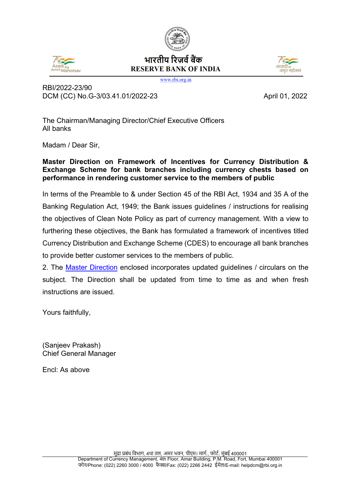# भारतीय रिजर्व बैंक **RESERVE BANK OF INDIA**

www.rbi.org.in

RBI/2022-23/90 DCM (CC) No.G-3/03.41.01/2022-23 April 01, 2022

The Chairman/Managing Director/Chief Executive Officers All banks

Madam / Dear Sir,

## **Master Direction on Framework of Incentives for Currency Distribution & Exchange Scheme for bank branches including currency chests based on performance in rendering customer service to the members of public**

In terms of the Preamble to & under Section 45 of the RBI Act, 1934 and 35 A of the Banking Regulation Act, 1949; the Bank issues guidelines / instructions for realising the objectives of Clean Note Policy as part of currency management. With a view to furthering these objectives, the Bank has formulated a framework of incentives titled Currency Distribution and Exchange Scheme (CDES) to encourage all bank branches to provide better customer services to the members of public.

2. The [Master Direction](#page-1-0) enclosed incorporates updated guidelines / circulars on the subject. The Direction shall be updated from time to time as and when fresh instructions are issued.

Yours faithfully,

(Sanjeev Prakash) Chief General Manager

Encl: As above





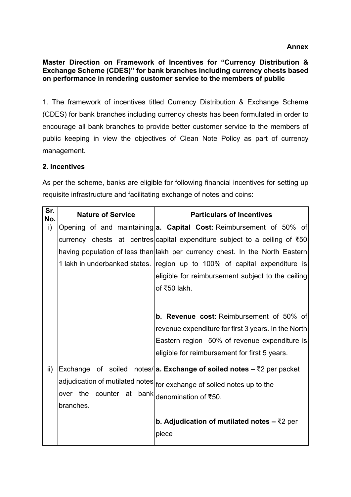#### <span id="page-1-0"></span>**Master Direction on Framework of Incentives for "Currency Distribution & Exchange Scheme (CDES)" for bank branches including currency chests based on performance in rendering customer service to the members of public**

1. The framework of incentives titled Currency Distribution & Exchange Scheme (CDES) for bank branches including currency chests has been formulated in order to encourage all bank branches to provide better customer service to the members of public keeping in view the objectives of Clean Note Policy as part of currency management.

## **2. Incentives**

As per the scheme, banks are eligible for following financial incentives for setting up requisite infrastructure and facilitating exchange of notes and coins:

| Sr.<br>No.      | <b>Nature of Service</b>                                                               | <b>Particulars of Incentives</b> |  |                                                     |  |  |  |  |  |  |  |  |
|-----------------|----------------------------------------------------------------------------------------|----------------------------------|--|-----------------------------------------------------|--|--|--|--|--|--|--|--|
| i)              | Opening of and maintaining a. Capital Cost: Reimbursement of 50% of                    |                                  |  |                                                     |  |  |  |  |  |  |  |  |
|                 | currency chests at centres capital expenditure subject to a ceiling of ₹50             |                                  |  |                                                     |  |  |  |  |  |  |  |  |
|                 | having population of less than lakh per currency chest. In the North Eastern           |                                  |  |                                                     |  |  |  |  |  |  |  |  |
|                 | 1 lakh in underbanked states. region up to 100% of capital expenditure is              |                                  |  |                                                     |  |  |  |  |  |  |  |  |
|                 |                                                                                        |                                  |  | eligible for reimbursement subject to the ceiling   |  |  |  |  |  |  |  |  |
|                 |                                                                                        |                                  |  | of ₹50 lakh.                                        |  |  |  |  |  |  |  |  |
|                 |                                                                                        |                                  |  |                                                     |  |  |  |  |  |  |  |  |
|                 |                                                                                        |                                  |  | <b>b. Revenue cost: Reimbursement of 50% of</b>     |  |  |  |  |  |  |  |  |
|                 |                                                                                        |                                  |  | revenue expenditure for first 3 years. In the North |  |  |  |  |  |  |  |  |
|                 |                                                                                        |                                  |  | Eastern region 50% of revenue expenditure is        |  |  |  |  |  |  |  |  |
|                 |                                                                                        |                                  |  | eligible for reimbursement for first 5 years.       |  |  |  |  |  |  |  |  |
| $\mathsf{ii}$ ) | Exchange of soiled notes/ a. Exchange of soiled notes $-\overline{z}$ 2 per packet     |                                  |  |                                                     |  |  |  |  |  |  |  |  |
|                 | adjudication of mutilated notes $\big _{\text{for exchange of solid nodes up to the}}$ |                                  |  |                                                     |  |  |  |  |  |  |  |  |
|                 | over the counter at bank                                                               |                                  |  | denomination of ₹50.                                |  |  |  |  |  |  |  |  |
|                 | branches.                                                                              |                                  |  |                                                     |  |  |  |  |  |  |  |  |
|                 |                                                                                        |                                  |  | b. Adjudication of mutilated notes $-$ ₹2 per       |  |  |  |  |  |  |  |  |
|                 |                                                                                        |                                  |  | piece                                               |  |  |  |  |  |  |  |  |